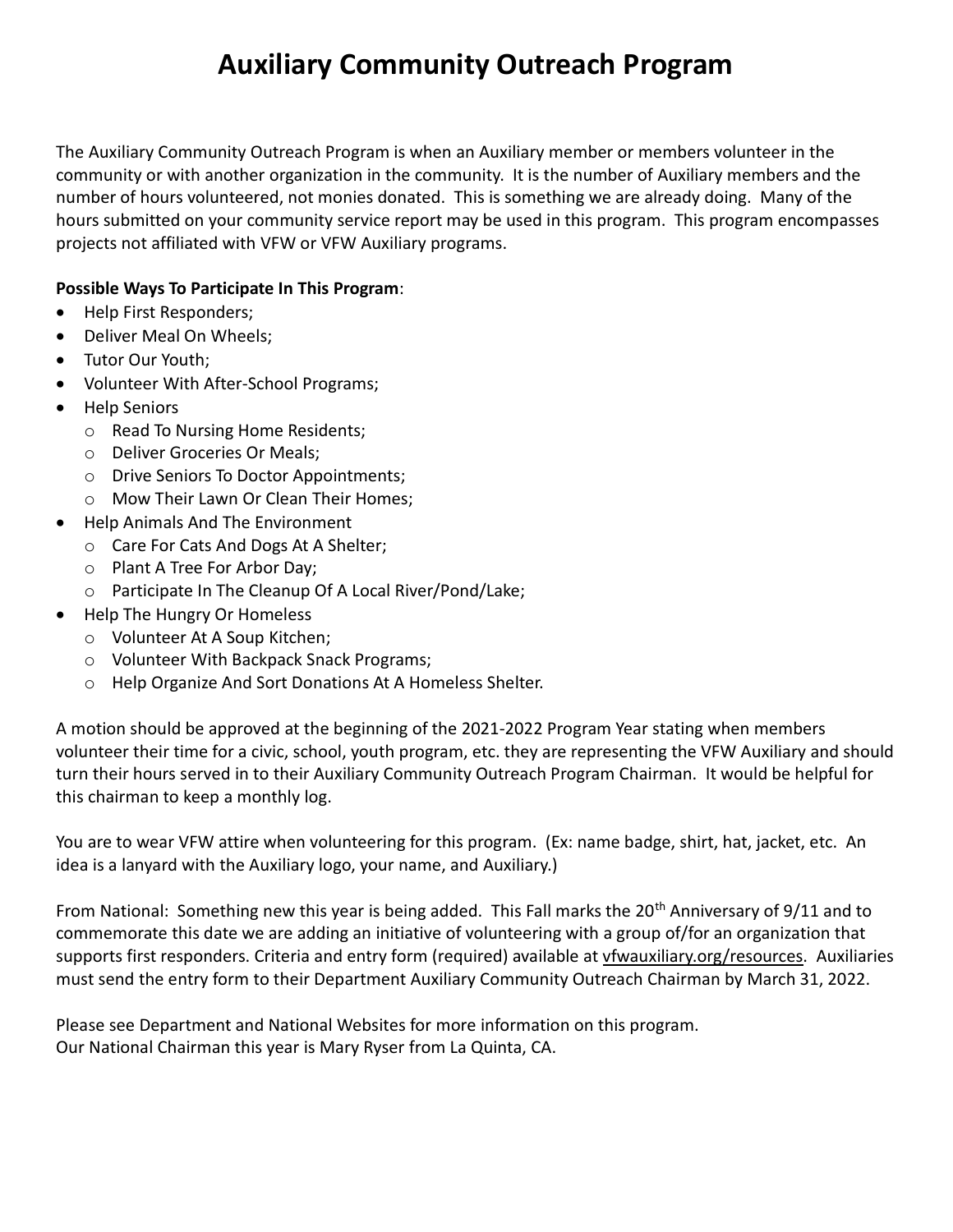## Auxiliary Community Outreach Program

The Auxiliary Community Outreach Program is when an Auxiliary member or members volunteer in the community or with another organization in the community. It is the number of Auxiliary members and the number of hours volunteered, not monies donated. This is something we are already doing. Many of the hours submitted on your community service report may be used in this program. This program encompasses projects not affiliated with VFW or VFW Auxiliary programs.

## Possible Ways To Participate In This Program:

- Help First Responders;
- Deliver Meal On Wheels:
- Tutor Our Youth;
- Volunteer With After-School Programs;
- Help Seniors
	- o Read To Nursing Home Residents;
	- o Deliver Groceries Or Meals;
	- o Drive Seniors To Doctor Appointments;
	- o Mow Their Lawn Or Clean Their Homes;
- Help Animals And The Environment
	- o Care For Cats And Dogs At A Shelter;
	- o Plant A Tree For Arbor Day;
	- o Participate In The Cleanup Of A Local River/Pond/Lake;
- Help The Hungry Or Homeless
	- o Volunteer At A Soup Kitchen;
	- o Volunteer With Backpack Snack Programs;
	- o Help Organize And Sort Donations At A Homeless Shelter.

A motion should be approved at the beginning of the 2021-2022 Program Year stating when members volunteer their time for a civic, school, youth program, etc. they are representing the VFW Auxiliary and should turn their hours served in to their Auxiliary Community Outreach Program Chairman. It would be helpful for this chairman to keep a monthly log.

You are to wear VFW attire when volunteering for this program. (Ex: name badge, shirt, hat, jacket, etc. An idea is a lanyard with the Auxiliary logo, your name, and Auxiliary.)

From National: Something new this year is being added. This Fall marks the 20<sup>th</sup> Anniversary of 9/11 and to commemorate this date we are adding an initiative of volunteering with a group of/for an organization that supports first responders. Criteria and entry form (required) available at vfwauxiliary.org/resources. Auxiliaries must send the entry form to their Department Auxiliary Community Outreach Chairman by March 31, 2022.

Please see Department and National Websites for more information on this program. Our National Chairman this year is Mary Ryser from La Quinta, CA.